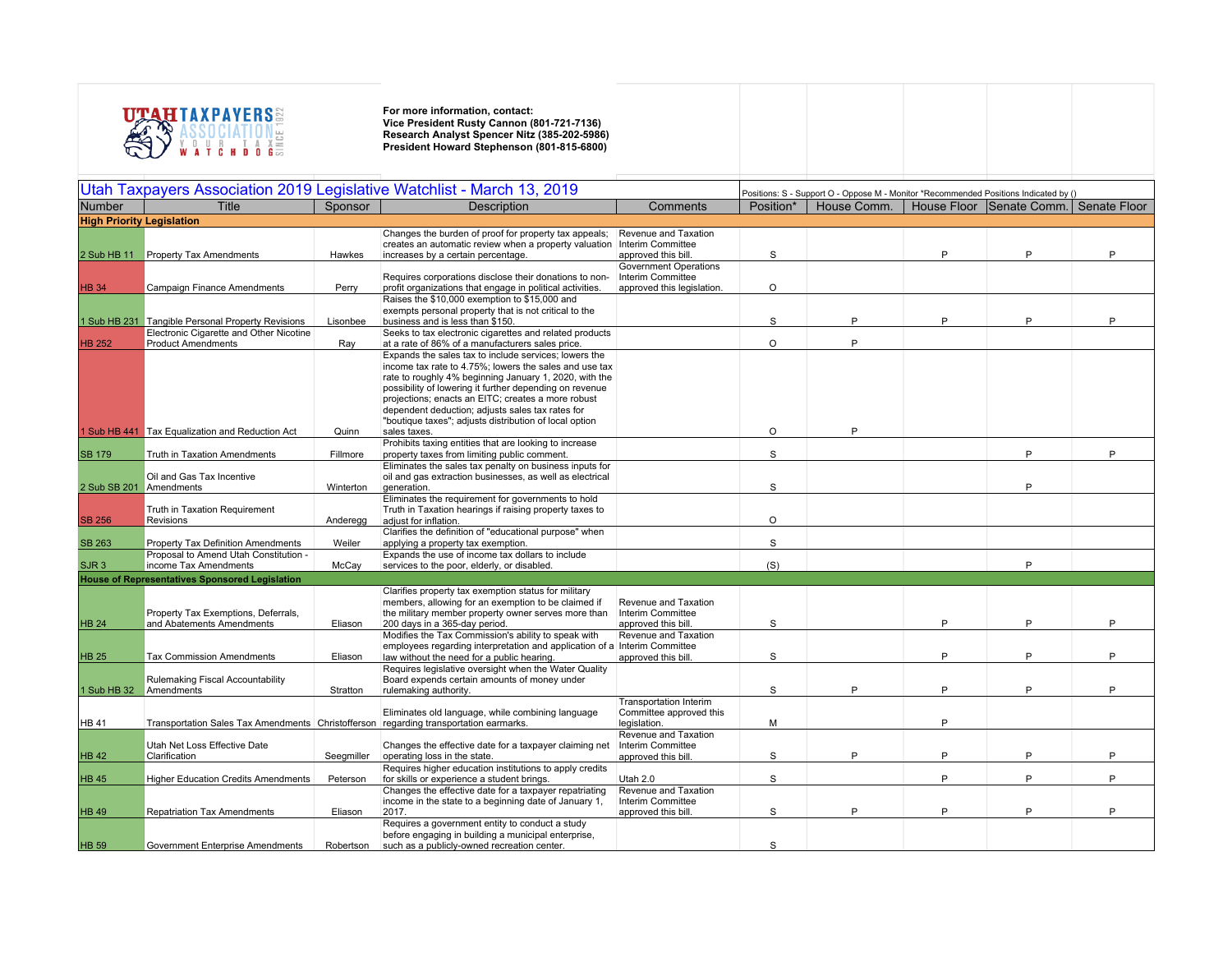

| Utah Taxpayers Association 2019 Legislative Watchlist - March 13, 2019 |                                                                                       |            |                                                                                                                                  |                                          | Positions: S - Support O - Oppose M - Monitor *Recommended Positions Indicated by () |             |   |                                       |   |  |
|------------------------------------------------------------------------|---------------------------------------------------------------------------------------|------------|----------------------------------------------------------------------------------------------------------------------------------|------------------------------------------|--------------------------------------------------------------------------------------|-------------|---|---------------------------------------|---|--|
| Number                                                                 | Title                                                                                 | Sponsor    | <b>Description</b>                                                                                                               | Comments                                 | Position*                                                                            | House Comm. |   | House Floor Senate Comm. Senate Floor |   |  |
|                                                                        |                                                                                       |            |                                                                                                                                  |                                          |                                                                                      |             |   |                                       |   |  |
| <b>High Priority Legislation</b>                                       |                                                                                       |            |                                                                                                                                  |                                          |                                                                                      |             |   |                                       |   |  |
|                                                                        |                                                                                       |            | Changes the burden of proof for property tax appeals;<br>creates an automatic review when a property valuation Interim Committee | Revenue and Taxation                     |                                                                                      |             |   |                                       |   |  |
| 2 Sub HB 11                                                            | Property Tax Amendments                                                               | Hawkes     | increases by a certain percentage.                                                                                               | approved this bill.                      | S                                                                                    |             | P | P                                     | P |  |
|                                                                        |                                                                                       |            |                                                                                                                                  | <b>Government Operations</b>             |                                                                                      |             |   |                                       |   |  |
|                                                                        |                                                                                       |            | Requires corporations disclose their donations to non-                                                                           | Interim Committee                        |                                                                                      |             |   |                                       |   |  |
| <b>HB 34</b>                                                           | <b>Campaign Finance Amendments</b>                                                    | Perry      | profit organizations that engage in political activities.                                                                        | approved this legislation.               | $\circ$                                                                              |             |   |                                       |   |  |
|                                                                        |                                                                                       |            | Raises the \$10,000 exemption to \$15,000 and                                                                                    |                                          |                                                                                      |             |   |                                       |   |  |
|                                                                        |                                                                                       |            | exempts personal property that is not critical to the                                                                            |                                          |                                                                                      |             |   | P                                     |   |  |
|                                                                        | 1 Sub HB 231 Tangible Personal Property Revisions                                     | Lisonbee   | business and is less than \$150.                                                                                                 |                                          | S                                                                                    | P           | P |                                       |   |  |
| <b>HB 252</b>                                                          | Electronic Cigarette and Other Nicotine<br><b>Product Amendments</b>                  | Ray        | Seeks to tax electronic cigarettes and related products<br>at a rate of 86% of a manufacturers sales price.                      |                                          | $\circ$                                                                              | P           |   |                                       |   |  |
|                                                                        |                                                                                       |            | Expands the sales tax to include services; lowers the                                                                            |                                          |                                                                                      |             |   |                                       |   |  |
|                                                                        |                                                                                       |            | income tax rate to 4.75%; lowers the sales and use tax                                                                           |                                          |                                                                                      |             |   |                                       |   |  |
|                                                                        |                                                                                       |            | rate to roughly 4% beginning January 1, 2020, with the                                                                           |                                          |                                                                                      |             |   |                                       |   |  |
|                                                                        |                                                                                       |            | possibility of lowering it further depending on revenue                                                                          |                                          |                                                                                      |             |   |                                       |   |  |
|                                                                        |                                                                                       |            | projections; enacts an EITC; creates a more robust                                                                               |                                          |                                                                                      |             |   |                                       |   |  |
|                                                                        |                                                                                       |            | dependent deduction; adjusts sales tax rates for                                                                                 |                                          |                                                                                      |             |   |                                       |   |  |
|                                                                        | 1 Sub HB 441 Tax Equalization and Reduction Act                                       | Quinn      | "boutique taxes"; adjusts distribution of local option<br>sales taxes.                                                           |                                          | $\circ$                                                                              | Þ           |   |                                       |   |  |
|                                                                        |                                                                                       |            | Prohibits taxing entities that are looking to increase                                                                           |                                          |                                                                                      |             |   |                                       |   |  |
| <b>SB 179</b>                                                          | <b>Truth in Taxation Amendments</b>                                                   | Fillmore   | property taxes from limiting public comment.                                                                                     |                                          | S                                                                                    |             |   | P                                     | P |  |
|                                                                        |                                                                                       |            | Eliminates the sales tax penalty on business inputs for                                                                          |                                          |                                                                                      |             |   |                                       |   |  |
|                                                                        | Oil and Gas Tax Incentive                                                             |            | oil and gas extraction businesses, as well as electrical                                                                         |                                          |                                                                                      |             |   |                                       |   |  |
| 2 Sub SB 201 Amendments                                                |                                                                                       | Winterton  | generation.                                                                                                                      |                                          | S                                                                                    |             |   | P                                     |   |  |
|                                                                        |                                                                                       |            | Eliminates the requirement for governments to hold                                                                               |                                          |                                                                                      |             |   |                                       |   |  |
| <b>SB 256</b>                                                          | Truth in Taxation Requirement<br>Revisions                                            | Anderegg   | Truth in Taxation hearings if raising property taxes to<br>adjust for inflation.                                                 |                                          | $\Omega$                                                                             |             |   |                                       |   |  |
|                                                                        |                                                                                       |            | Clarifies the definition of "educational purpose" when                                                                           |                                          |                                                                                      |             |   |                                       |   |  |
| <b>SB 263</b>                                                          | Property Tax Definition Amendments                                                    | Weiler     | applying a property tax exemption.                                                                                               |                                          | S                                                                                    |             |   |                                       |   |  |
|                                                                        | Proposal to Amend Utah Constitution -                                                 |            | Expands the use of income tax dollars to include                                                                                 |                                          |                                                                                      |             |   |                                       |   |  |
| SJR <sub>3</sub>                                                       | income Tax Amendments                                                                 | McCay      | services to the poor, elderly, or disabled.                                                                                      |                                          | (S)                                                                                  |             |   | P                                     |   |  |
|                                                                        | <b>House of Representatives Sponsored Legislation</b>                                 |            |                                                                                                                                  |                                          |                                                                                      |             |   |                                       |   |  |
|                                                                        |                                                                                       |            | Clarifies property tax exemption status for military                                                                             |                                          |                                                                                      |             |   |                                       |   |  |
|                                                                        |                                                                                       |            | members, allowing for an exemption to be claimed if                                                                              | Revenue and Taxation                     |                                                                                      |             |   |                                       |   |  |
| <b>HB 24</b>                                                           | Property Tax Exemptions, Deferrals,<br>and Abatements Amendments                      | Eliason    | the military member property owner serves more than<br>200 days in a 365-day period.                                             | Interim Committee<br>approved this bill. | S                                                                                    |             | P | P                                     |   |  |
|                                                                        |                                                                                       |            | Modifies the Tax Commission's ability to speak with                                                                              | Revenue and Taxation                     |                                                                                      |             |   |                                       |   |  |
|                                                                        |                                                                                       |            | employees regarding interpretation and application of a Interim Committee                                                        |                                          |                                                                                      |             |   |                                       |   |  |
| <b>HB 25</b>                                                           | <b>Tax Commission Amendments</b>                                                      | Eliason    | law without the need for a public hearing.                                                                                       | approved this bill.                      | S                                                                                    |             | P | P                                     | D |  |
|                                                                        |                                                                                       |            | Requires legislative oversight when the Water Quality                                                                            |                                          |                                                                                      |             |   |                                       |   |  |
|                                                                        | Rulemaking Fiscal Accountability                                                      |            | Board expends certain amounts of money under                                                                                     |                                          |                                                                                      | D           | P | P                                     | Þ |  |
| 1 Sub HB 32                                                            | Amendments                                                                            | Stratton   | rulemaking authority.                                                                                                            | <b>Transportation Interim</b>            | S                                                                                    |             |   |                                       |   |  |
|                                                                        |                                                                                       |            | Eliminates old language, while combining language                                                                                | Committee approved this                  |                                                                                      |             |   |                                       |   |  |
| HB 41                                                                  | Transportation Sales Tax Amendments Christofferson regarding transportation earmarks. |            |                                                                                                                                  | legislation.                             | М                                                                                    |             | P |                                       |   |  |
|                                                                        |                                                                                       |            |                                                                                                                                  | Revenue and Taxation                     |                                                                                      |             |   |                                       |   |  |
|                                                                        | Utah Net Loss Effective Date                                                          |            | Changes the effective date for a taxpayer claiming net                                                                           | Interim Committee                        |                                                                                      |             |   |                                       |   |  |
| <b>HB 42</b>                                                           | Clarification                                                                         | Seegmiller | operating loss in the state.                                                                                                     | approved this bill                       | S                                                                                    | P           | P | P                                     | P |  |
|                                                                        |                                                                                       |            | Requires higher education institutions to apply credits                                                                          |                                          | S                                                                                    |             | P | P                                     | P |  |
| <b>HB 45</b>                                                           | <b>Higher Education Credits Amendments</b>                                            | Peterson   | for skills or experience a student brings.<br>Changes the effective date for a taxpayer repatriating                             | Utah 2.0<br>Revenue and Taxation         |                                                                                      |             |   |                                       |   |  |
|                                                                        |                                                                                       |            | income in the state to a beginning date of January 1,                                                                            | Interim Committee                        |                                                                                      |             |   |                                       |   |  |
| <b>HB 49</b>                                                           | Repatriation Tax Amendments                                                           | Eliason    | 2017.                                                                                                                            | approved this bill.                      | S                                                                                    | P           | P | P                                     | P |  |
|                                                                        |                                                                                       |            | Requires a government entity to conduct a study                                                                                  |                                          |                                                                                      |             |   |                                       |   |  |
|                                                                        |                                                                                       |            | before engaging in building a municipal enterprise,                                                                              |                                          |                                                                                      |             |   |                                       |   |  |
| <b>HB 59</b>                                                           | Government Enterprise Amendments                                                      | Robertson  | such as a publicly-owned recreation center.                                                                                      |                                          | S                                                                                    |             |   |                                       |   |  |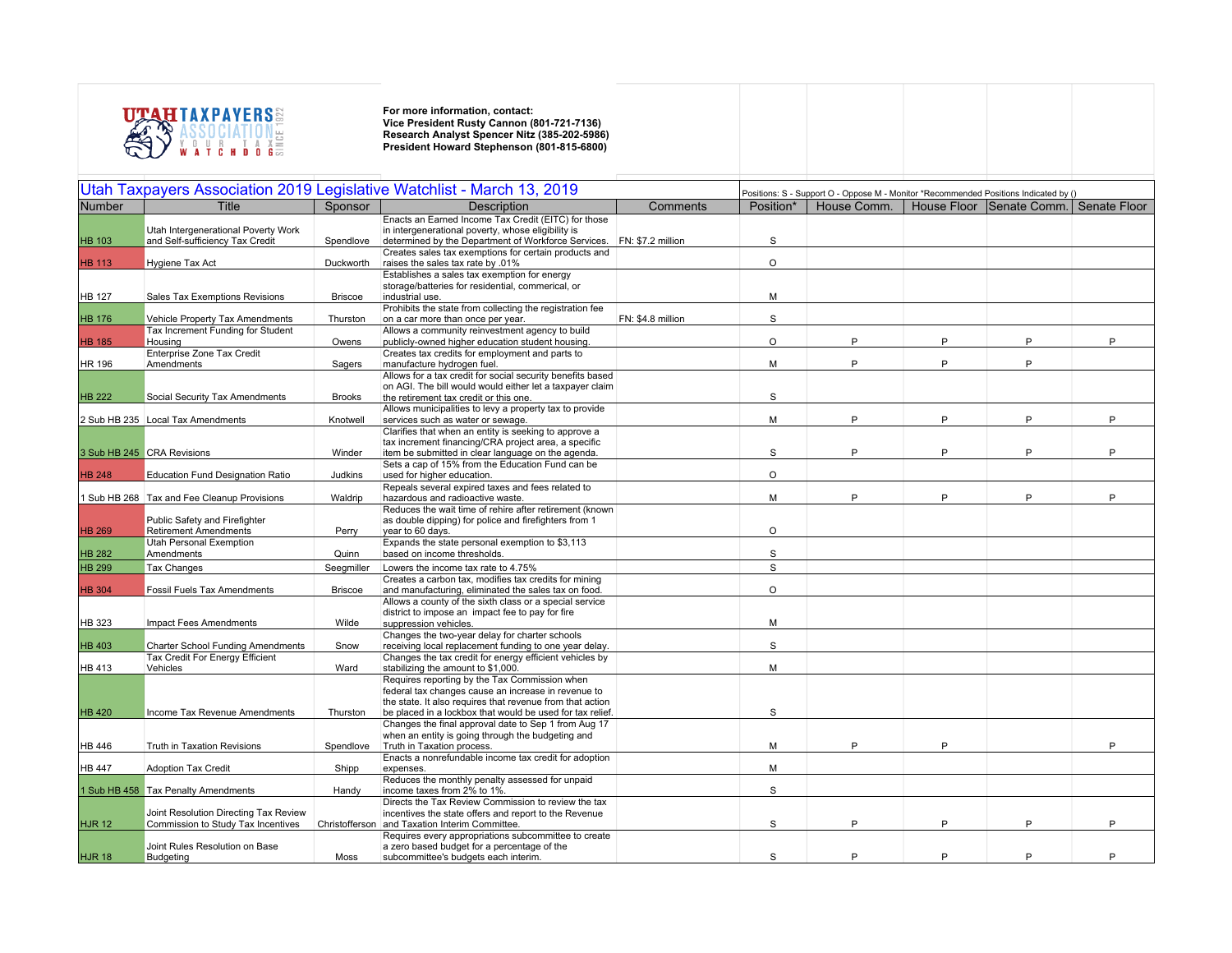

|               |                                                                             |                | Utah Taxpayers Association 2019 Legislative Watchlist - March 13, 2019                                                                                              |                   | Positions: S - Support O - Oppose M - Monitor *Recommended Positions Indicated by () |             |   |                          |              |
|---------------|-----------------------------------------------------------------------------|----------------|---------------------------------------------------------------------------------------------------------------------------------------------------------------------|-------------------|--------------------------------------------------------------------------------------|-------------|---|--------------------------|--------------|
| Number        | <b>Title</b>                                                                | Sponsor        | <b>Description</b>                                                                                                                                                  | Comments          | Position*                                                                            | House Comm. |   | House Floor Senate Comm. | Senate Floor |
| <b>HB 103</b> | Utah Intergenerational Poverty Work<br>and Self-sufficiency Tax Credit      | Spendlove      | Enacts an Earned Income Tax Credit (EITC) for those<br>in intergenerational poverty, whose eligibility is<br>determined by the Department of Workforce Services.    | FN: \$7.2 million | S                                                                                    |             |   |                          |              |
| <b>HB 113</b> | Hygiene Tax Act                                                             | Duckworth      | Creates sales tax exemptions for certain products and<br>raises the sales tax rate by .01%                                                                          |                   | $\circ$                                                                              |             |   |                          |              |
|               |                                                                             |                | Establishes a sales tax exemption for energy<br>storage/batteries for residential, commerical, or                                                                   |                   |                                                                                      |             |   |                          |              |
| <b>HB 127</b> | Sales Tax Exemptions Revisions                                              | <b>Briscoe</b> | industrial use.<br>Prohibits the state from collecting the registration fee                                                                                         |                   | M                                                                                    |             |   |                          |              |
| <b>HB 176</b> | Vehicle Property Tax Amendments<br>Tax Increment Funding for Student        | Thurston       | on a car more than once per year.<br>Allows a community reinvestment agency to build                                                                                | FN: \$4.8 million | S                                                                                    |             |   |                          |              |
| <b>HB 185</b> | Housing                                                                     | Owens          | publicly-owned higher education student housing.                                                                                                                    |                   | $\circ$                                                                              | P           | P | P                        | P            |
| <b>HR 196</b> | Enterprise Zone Tax Credit<br>Amendments                                    | Sagers         | Creates tax credits for employment and parts to<br>manufacture hydrogen fuel.                                                                                       |                   | M                                                                                    | P           | P | P                        |              |
| <b>HB 222</b> | Social Security Tax Amendments                                              | <b>Brooks</b>  | Allows for a tax credit for social security benefits based<br>on AGI. The bill would would either let a taxpayer claim<br>the retirement tax credit or this one.    |                   | S                                                                                    |             |   |                          |              |
|               | 2 Sub HB 235 Local Tax Amendments                                           | Knotwell       | Allows municipalities to levy a property tax to provide<br>services such as water or sewage.                                                                        |                   | M                                                                                    | P           | P | P                        | P            |
|               | 3 Sub HB 245 CRA Revisions                                                  | Winder         | Clarifies that when an entity is seeking to approve a<br>tax increment financing/CRA project area, a specific<br>item be submitted in clear language on the agenda. |                   | $\mathbb S$                                                                          | P           | P | P                        | P            |
| <b>HB 248</b> | <b>Education Fund Designation Ratio</b>                                     | Judkins        | Sets a cap of 15% from the Education Fund can be<br>used for higher education.                                                                                      |                   | $\circ$                                                                              |             |   |                          |              |
|               | 1 Sub HB 268 Tax and Fee Cleanup Provisions                                 | Waldrip        | Repeals several expired taxes and fees related to<br>hazardous and radioactive waste.                                                                               |                   | M                                                                                    | P           | P | P                        | P            |
| <b>HB 269</b> | Public Safety and Firefighter<br><b>Retirement Amendments</b>               | Perry          | Reduces the wait time of rehire after retirement (known<br>as double dipping) for police and firefighters from 1<br>year to 60 days.                                |                   | $\circ$                                                                              |             |   |                          |              |
| <b>HB 282</b> | Utah Personal Exemption<br>Amendments                                       | Quinn          | Expands the state personal exemption to \$3,113<br>based on income thresholds.                                                                                      |                   | $\mathbb S$                                                                          |             |   |                          |              |
| <b>HB 299</b> | Tax Changes                                                                 | Seegmiller     | Lowers the income tax rate to 4.75%                                                                                                                                 |                   | S                                                                                    |             |   |                          |              |
| <b>HB 304</b> | <b>Fossil Fuels Tax Amendments</b>                                          | <b>Briscoe</b> | Creates a carbon tax, modifies tax credits for mining<br>and manufacturing, eliminated the sales tax on food.                                                       |                   | $\circ$                                                                              |             |   |                          |              |
| HB 323        | Impact Fees Amendments                                                      | Wilde          | Allows a county of the sixth class or a special service<br>district to impose an impact fee to pay for fire<br>suppression vehicles.                                |                   | M                                                                                    |             |   |                          |              |
| <b>HB 403</b> | <b>Charter School Funding Amendments</b>                                    | Snow           | Changes the two-year delay for charter schools<br>receiving local replacement funding to one year delay.                                                            |                   | S                                                                                    |             |   |                          |              |
| <b>HB 413</b> | Tax Credit For Energy Efficient<br>Vehicles                                 | Ward           | Changes the tax credit for energy efficient vehicles by<br>stabilizing the amount to \$1,000.                                                                       |                   | M                                                                                    |             |   |                          |              |
|               |                                                                             |                | Requires reporting by the Tax Commission when<br>federal tax changes cause an increase in revenue to<br>the state. It also requires that revenue from that action   |                   |                                                                                      |             |   |                          |              |
| <b>HB 420</b> | Income Tax Revenue Amendments                                               | Thurston       | be placed in a lockbox that would be used for tax relief.<br>Changes the final approval date to Sep 1 from Aug 17                                                   |                   | S                                                                                    |             |   |                          |              |
| <b>HB 446</b> | Truth in Taxation Revisions                                                 | Spendlove      | when an entity is going through the budgeting and<br>Truth in Taxation process.<br>Enacts a nonrefundable income tax credit for adoption                            |                   | M                                                                                    | P           | P |                          | P            |
| <b>HB 447</b> | <b>Adoption Tax Credit</b>                                                  | Shipp          | expenses.                                                                                                                                                           |                   | M                                                                                    |             |   |                          |              |
|               | 1 Sub HB 458 Tax Penalty Amendments                                         | Handy          | Reduces the monthly penalty assessed for unpaid<br>income taxes from 2% to 1%.                                                                                      |                   | S                                                                                    |             |   |                          |              |
| <b>HJR 12</b> | Joint Resolution Directing Tax Review<br>Commission to Study Tax Incentives |                | Directs the Tax Review Commission to review the tax<br>incentives the state offers and report to the Revenue<br>Christofferson and Taxation Interim Committee.      |                   | $\mathbb S$                                                                          | P           | P | P                        | Þ            |
| <b>HJR 18</b> | Joint Rules Resolution on Base<br>Budgeting                                 | Moss           | Requires every appropriations subcommittee to create<br>a zero based budget for a percentage of the<br>subcommittee's budgets each interim.                         |                   | S                                                                                    | P           | P | P                        | Þ            |
|               |                                                                             |                |                                                                                                                                                                     |                   |                                                                                      |             |   |                          |              |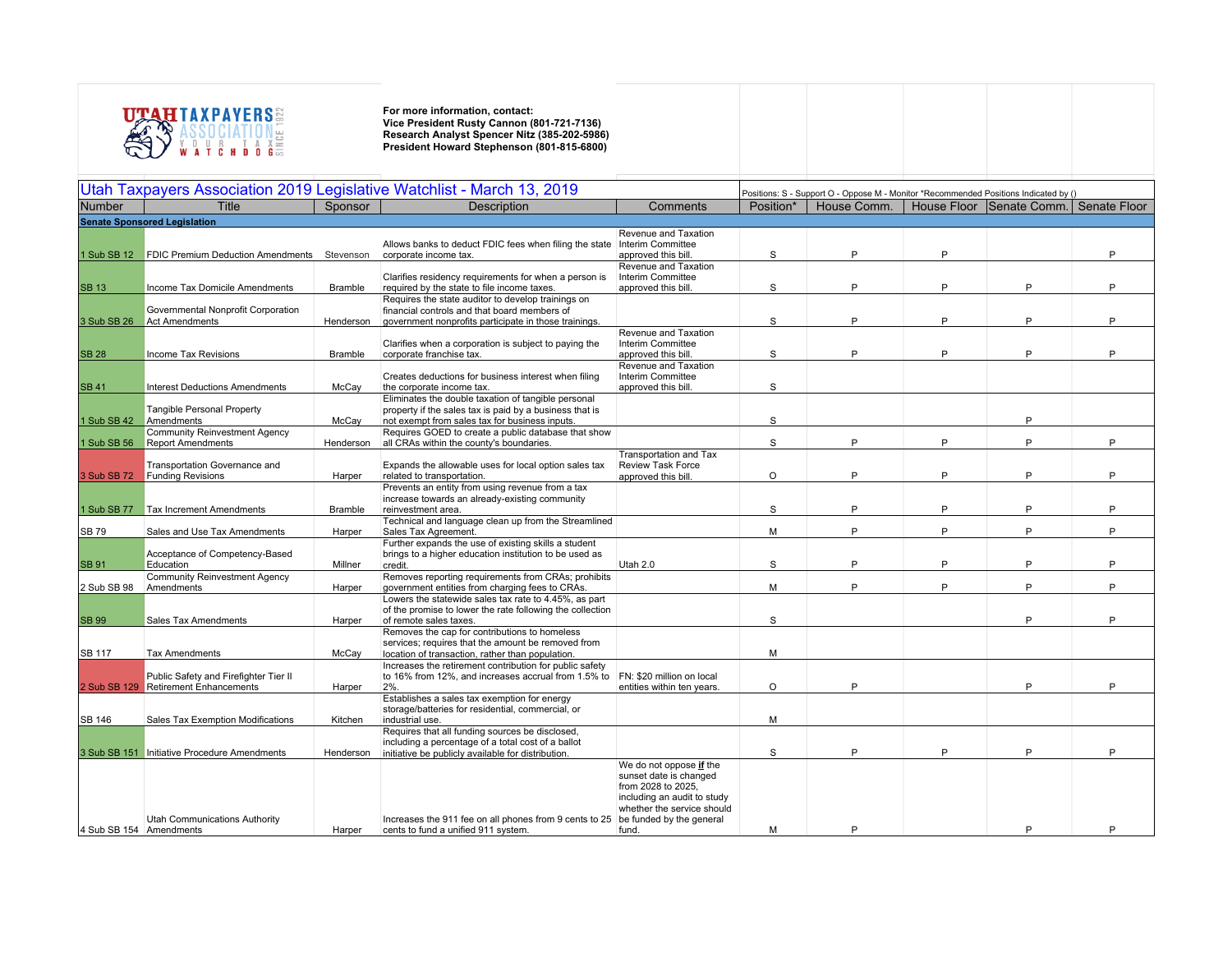

| Utah Taxpayers Association 2019 Legislative Watchlist - March 13, 2019 |                                                                         |                |                                                                                                                                                                  |                                                                                                                                                                           |           | Positions: S - Support O - Oppose M - Monitor *Recommended Positions Indicated by () |   |                                       |   |  |  |
|------------------------------------------------------------------------|-------------------------------------------------------------------------|----------------|------------------------------------------------------------------------------------------------------------------------------------------------------------------|---------------------------------------------------------------------------------------------------------------------------------------------------------------------------|-----------|--------------------------------------------------------------------------------------|---|---------------------------------------|---|--|--|
| <b>Number</b>                                                          | <b>Title</b>                                                            | Sponsor        | <b>Description</b>                                                                                                                                               | Comments                                                                                                                                                                  | Position* | House Comm.                                                                          |   | House Floor Senate Comm. Senate Floor |   |  |  |
|                                                                        | <b>Senate Sponsored Legislation</b>                                     |                |                                                                                                                                                                  |                                                                                                                                                                           |           |                                                                                      |   |                                       |   |  |  |
| 1 Sub SB 12                                                            | <b>FDIC Premium Deduction Amendments</b> Stevenson                      |                | Allows banks to deduct FDIC fees when filing the state<br>corporate income tax.                                                                                  | Revenue and Taxation<br>Interim Committee<br>approved this bill.                                                                                                          | S         | P                                                                                    | P |                                       | P |  |  |
| <b>SB 13</b>                                                           | Income Tax Domicile Amendments                                          | Bramble        | Clarifies residency requirements for when a person is<br>required by the state to file income taxes.                                                             | Revenue and Taxation<br>Interim Committee<br>approved this bill.                                                                                                          | S         | P                                                                                    | P | P                                     | P |  |  |
| 3 Sub SB 26                                                            | Governmental Nonprofit Corporation<br><b>Act Amendments</b>             | Henderson      | Requires the state auditor to develop trainings on<br>financial controls and that board members of<br>government nonprofits participate in those trainings.      |                                                                                                                                                                           | S         | P                                                                                    | P | P                                     | P |  |  |
| <b>SB 28</b>                                                           | Income Tax Revisions                                                    | <b>Bramble</b> | Clarifies when a corporation is subject to paying the<br>corporate franchise tax.                                                                                | Revenue and Taxation<br>Interim Committee<br>approved this bill.                                                                                                          | S         | P                                                                                    | Þ | P                                     | D |  |  |
| <b>SB 41</b>                                                           | <b>Interest Deductions Amendments</b>                                   | McCay          | Creates deductions for business interest when filing<br>the corporate income tax.                                                                                | Revenue and Taxation<br>Interim Committee<br>approved this bill.                                                                                                          | S         |                                                                                      |   |                                       |   |  |  |
| 1 Sub SB 42                                                            | <b>Tangible Personal Property</b><br>Amendments                         | McCay          | Eliminates the double taxation of tangible personal<br>property if the sales tax is paid by a business that is<br>not exempt from sales tax for business inputs. |                                                                                                                                                                           | S         |                                                                                      |   | P                                     |   |  |  |
| 1 Sub SB 56                                                            | <b>Community Reinvestment Agency</b><br><b>Report Amendments</b>        | Henderson      | Requires GOED to create a public database that show<br>all CRAs within the county's boundaries.                                                                  |                                                                                                                                                                           | S         | P                                                                                    | P | P                                     | P |  |  |
| 3 Sub SB 72                                                            | Transportation Governance and<br><b>Funding Revisions</b>               | Harper         | Expands the allowable uses for local option sales tax<br>related to transportation.                                                                              | Transportation and Tax<br><b>Review Task Force</b><br>approved this bill.                                                                                                 | $\circ$   | P                                                                                    | Þ | P                                     | Þ |  |  |
| 1 Sub SB 77                                                            | <b>Tax Increment Amendments</b>                                         | <b>Bramble</b> | Prevents an entity from using revenue from a tax<br>increase towards an already-existing community<br>reinvestment area.                                         |                                                                                                                                                                           | S         | P                                                                                    | P | P                                     | P |  |  |
| <b>SB 79</b>                                                           | Sales and Use Tax Amendments                                            | Harper         | Technical and language clean up from the Streamlined<br>Sales Tax Agreement.                                                                                     |                                                                                                                                                                           | M         | P                                                                                    | P | P                                     | P |  |  |
| <b>SB 91</b>                                                           | Acceptance of Competency-Based<br>Education                             | Millner        | Further expands the use of existing skills a student<br>brings to a higher education institution to be used as<br>credit.                                        | Utah 2.0                                                                                                                                                                  | S         | P                                                                                    | P | P                                     | Þ |  |  |
| 2 Sub SB 98                                                            | <b>Community Reinvestment Agency</b><br>Amendments                      | Harper         | Removes reporting requirements from CRAs; prohibits<br>government entities from charging fees to CRAs.                                                           |                                                                                                                                                                           | M         | P                                                                                    | P | P                                     | P |  |  |
| <b>SB 99</b>                                                           | Sales Tax Amendments                                                    | Harper         | Lowers the statewide sales tax rate to 4.45%, as part<br>of the promise to lower the rate following the collection<br>of remote sales taxes.                     |                                                                                                                                                                           | S         |                                                                                      |   | P                                     | P |  |  |
| SB 117                                                                 | <b>Tax Amendments</b>                                                   | McCay          | Removes the cap for contributions to homeless<br>services; requires that the amount be removed from<br>location of transaction, rather than population.          |                                                                                                                                                                           | M         |                                                                                      |   |                                       |   |  |  |
| 2 Sub SB 129                                                           | Public Safety and Firefighter Tier II<br><b>Retirement Enhancements</b> | Harper         | Increases the retirement contribution for public safety<br>to 16% from 12%, and increases accrual from 1.5% to<br>2%                                             | FN: \$20 million on local<br>entities within ten years.                                                                                                                   | $\circ$   | P                                                                                    |   | P                                     | D |  |  |
| SB 146                                                                 | Sales Tax Exemption Modifications                                       | Kitchen        | Establishes a sales tax exemption for energy<br>storage/batteries for residential, commercial, or<br>industrial use.                                             |                                                                                                                                                                           | M         |                                                                                      |   |                                       |   |  |  |
|                                                                        | 3 Sub SB 151 Initiative Procedure Amendments                            | Henderson      | Requires that all funding sources be disclosed,<br>including a percentage of a total cost of a ballot<br>initiative be publicly available for distribution.      |                                                                                                                                                                           | S         | P                                                                                    | P | P                                     | P |  |  |
| 4 Sub SB 154 Amendments                                                | Utah Communications Authority                                           | Harper         | Increases the 911 fee on all phones from 9 cents to 25<br>cents to fund a unified 911 system.                                                                    | We do not oppose if the<br>sunset date is changed<br>from 2028 to 2025.<br>including an audit to study<br>whether the service should<br>be funded by the general<br>fund. | M         |                                                                                      |   | P                                     |   |  |  |